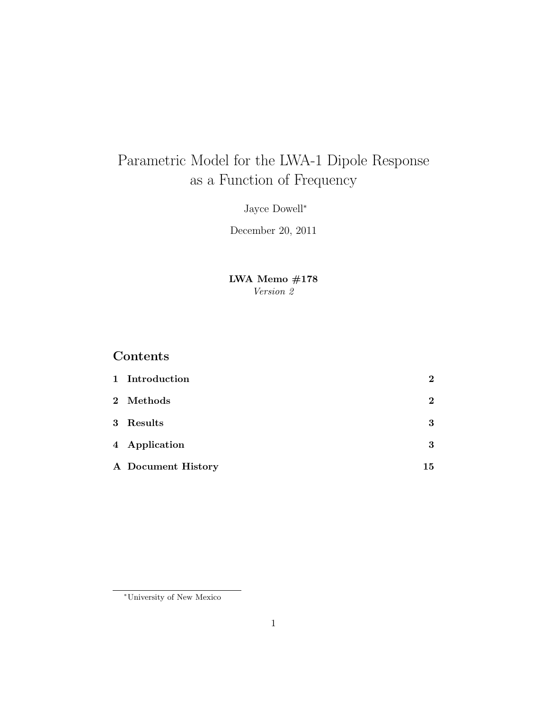# Parametric Model for the LWA-1 Dipole Response as a Function of Frequency

Jayce Dowell<sup>∗</sup>

December 20, 2011

LWA Memo #178 Version 2

## Contents

| 1 Introduction     | $\bf{2}$ |
|--------------------|----------|
| 2 Methods          | $\bf{2}$ |
| 3 Results          | 3        |
| 4 Application      | 3        |
| A Document History | 15       |

<sup>∗</sup>University of New Mexico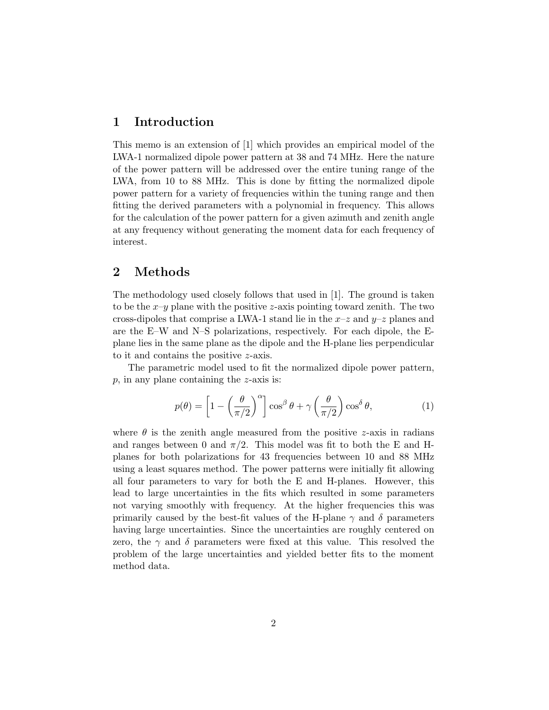#### 1 Introduction

This memo is an extension of [1] which provides an empirical model of the LWA-1 normalized dipole power pattern at 38 and 74 MHz. Here the nature of the power pattern will be addressed over the entire tuning range of the LWA, from 10 to 88 MHz. This is done by fitting the normalized dipole power pattern for a variety of frequencies within the tuning range and then fitting the derived parameters with a polynomial in frequency. This allows for the calculation of the power pattern for a given azimuth and zenith angle at any frequency without generating the moment data for each frequency of interest.

## 2 Methods

The methodology used closely follows that used in [1]. The ground is taken to be the  $x-y$  plane with the positive z-axis pointing toward zenith. The two cross-dipoles that comprise a LWA-1 stand lie in the  $x-z$  and  $y-z$  planes and are the E–W and N–S polarizations, respectively. For each dipole, the Eplane lies in the same plane as the dipole and the H-plane lies perpendicular to it and contains the positive z-axis.

The parametric model used to fit the normalized dipole power pattern,  $p$ , in any plane containing the  $z$ -axis is:

$$
p(\theta) = \left[1 - \left(\frac{\theta}{\pi/2}\right)^{\alpha}\right] \cos^{\beta} \theta + \gamma \left(\frac{\theta}{\pi/2}\right) \cos^{\delta} \theta, \tag{1}
$$

where  $\theta$  is the zenith angle measured from the positive z-axis in radians and ranges between 0 and  $\pi/2$ . This model was fit to both the E and Hplanes for both polarizations for 43 frequencies between 10 and 88 MHz using a least squares method. The power patterns were initially fit allowing all four parameters to vary for both the E and H-planes. However, this lead to large uncertainties in the fits which resulted in some parameters not varying smoothly with frequency. At the higher frequencies this was primarily caused by the best-fit values of the H-plane  $\gamma$  and  $\delta$  parameters having large uncertainties. Since the uncertainties are roughly centered on zero, the  $\gamma$  and  $\delta$  parameters were fixed at this value. This resolved the problem of the large uncertainties and yielded better fits to the moment method data.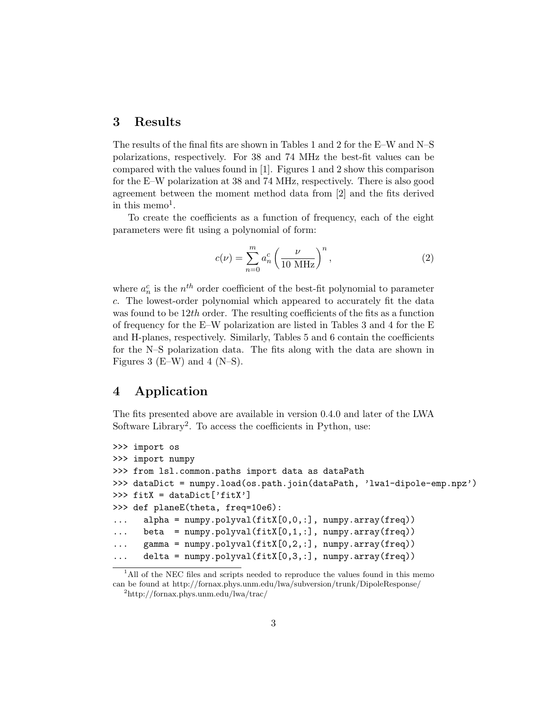#### 3 Results

The results of the final fits are shown in Tables 1 and 2 for the E–W and N–S polarizations, respectively. For 38 and 74 MHz the best-fit values can be compared with the values found in [1]. Figures 1 and 2 show this comparison for the E–W polarization at 38 and 74 MHz, respectively. There is also good agreement between the moment method data from [2] and the fits derived in this memo<sup>1</sup>.

To create the coefficients as a function of frequency, each of the eight parameters were fit using a polynomial of form:

$$
c(\nu) = \sum_{n=0}^{m} a_n^c \left(\frac{\nu}{10 \text{ MHz}}\right)^n,\tag{2}
$$

where  $a_n^c$  is the  $n^{th}$  order coefficient of the best-fit polynomial to parameter c. The lowest-order polynomial which appeared to accurately fit the data was found to be  $12th$  order. The resulting coefficients of the fits as a function of frequency for the E–W polarization are listed in Tables 3 and 4 for the E and H-planes, respectively. Similarly, Tables 5 and 6 contain the coefficients for the N–S polarization data. The fits along with the data are shown in Figures 3 (E–W) and 4 (N–S).

#### 4 Application

The fits presented above are available in version 0.4.0 and later of the LWA Software Library<sup>2</sup>. To access the coefficients in Python, use:

```
>>> import os
>>> import numpy
>>> from lsl.common.paths import data as dataPath
>>> dataDict = numpy.load(os.path.join(dataPath, 'lwa1-dipole-emp.npz')
>>> fitX = dataDict['fitX']
>>> def planeE(theta, freq=10e6):
      alpha = numpy.polyval(fitX[0,0,:], numpy.array(freq))... beta = \text{numpy.polyval}(\text{fitX}[0,1,:], \text{numpy.array}(\text{freq}))\ldots gamma = numpy.polyval(fitX[0,2,:], numpy.array(freq))
      delta = numpy.polyval(fitX[0,3,:], numpy.array(freq))
```
<sup>&</sup>lt;sup>1</sup>All of the NEC files and scripts needed to reproduce the values found in this memo can be found at http://fornax.phys.unm.edu/lwa/subversion/trunk/DipoleResponse/

<sup>2</sup>http://fornax.phys.unm.edu/lwa/trac/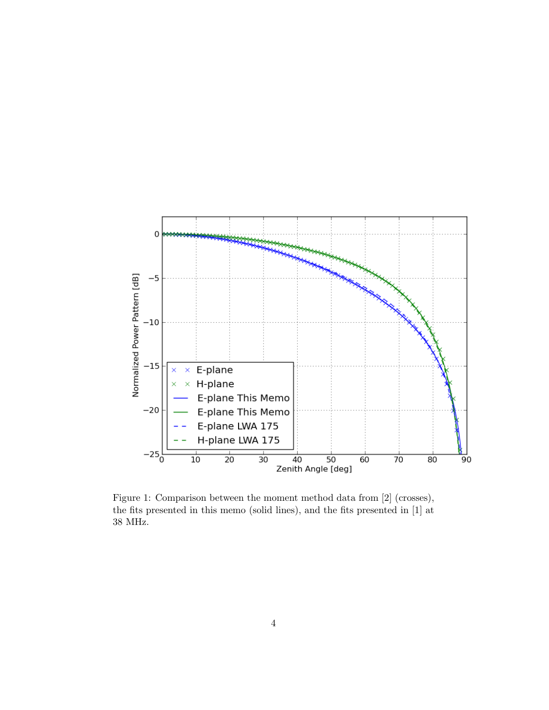

Figure 1: Comparison between the moment method data from [2] (crosses), the fits presented in this memo (solid lines), and the fits presented in [1] at 38 MHz.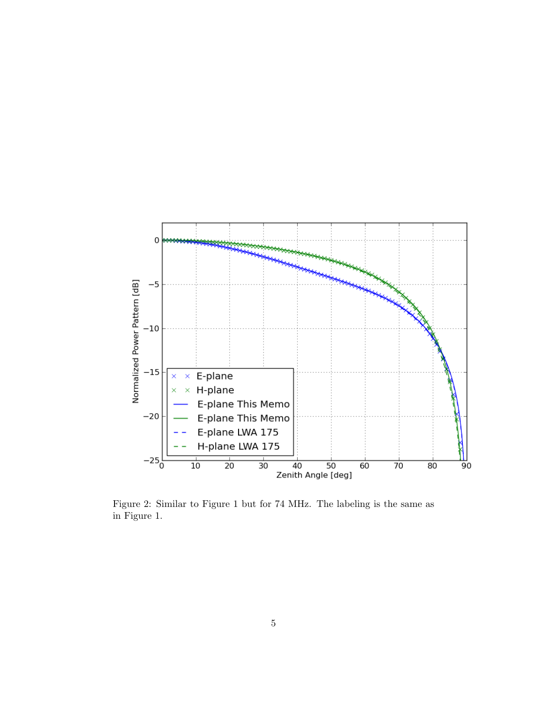

Figure 2: Similar to Figure 1 but for 74 MHz. The labeling is the same as in Figure 1.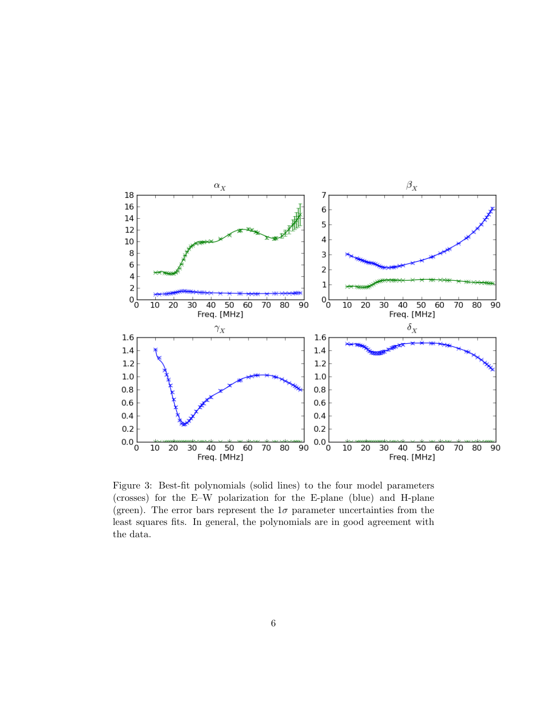

Figure 3: Best-fit polynomials (solid lines) to the four model parameters (crosses) for the E–W polarization for the E-plane (blue) and H-plane (green). The error bars represent the  $1\sigma$  parameter uncertainties from the least squares fits. In general, the polynomials are in good agreement with the data.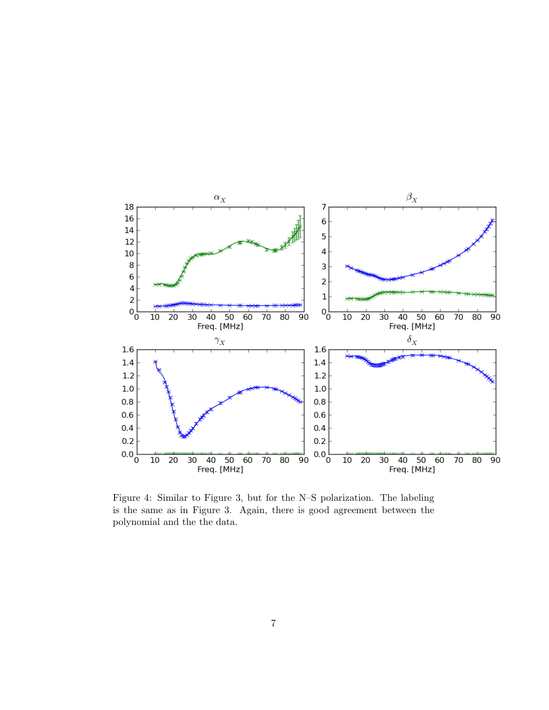

Figure 4: Similar to Figure 3, but for the N–S polarization. The labeling is the same as in Figure 3. Again, there is good agreement between the polynomial and the the data.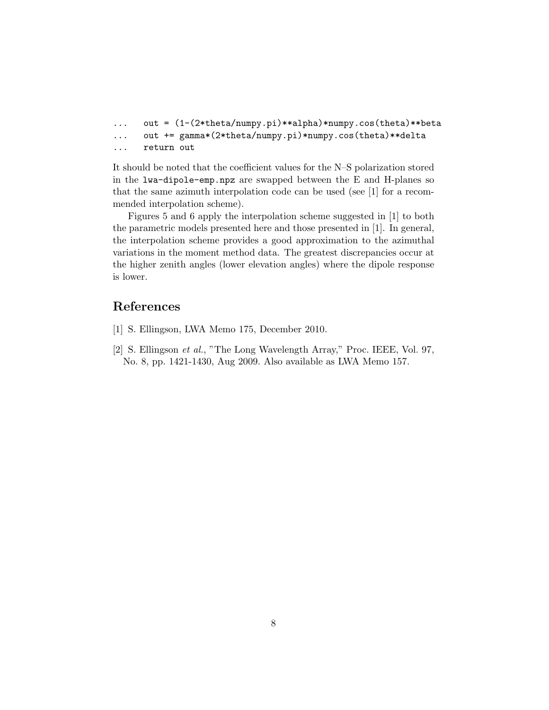```
... out = (1-(2*theta/numpy.pi)**alpha)*numpy.cos(theta)**beta
... out += gamma*(2*theta/numpy.pi)*numpy.cos(theta)**delta
... return out
```
It should be noted that the coefficient values for the N–S polarization stored in the lwa-dipole-emp.npz are swapped between the E and H-planes so that the same azimuth interpolation code can be used (see [1] for a recommended interpolation scheme).

Figures 5 and 6 apply the interpolation scheme suggested in [1] to both the parametric models presented here and those presented in [1]. In general, the interpolation scheme provides a good approximation to the azimuthal variations in the moment method data. The greatest discrepancies occur at the higher zenith angles (lower elevation angles) where the dipole response is lower.

## References

- [1] S. Ellingson, LWA Memo 175, December 2010.
- [2] S. Ellingson et al., "The Long Wavelength Array," Proc. IEEE, Vol. 97, No. 8, pp. 1421-1430, Aug 2009. Also available as LWA Memo 157.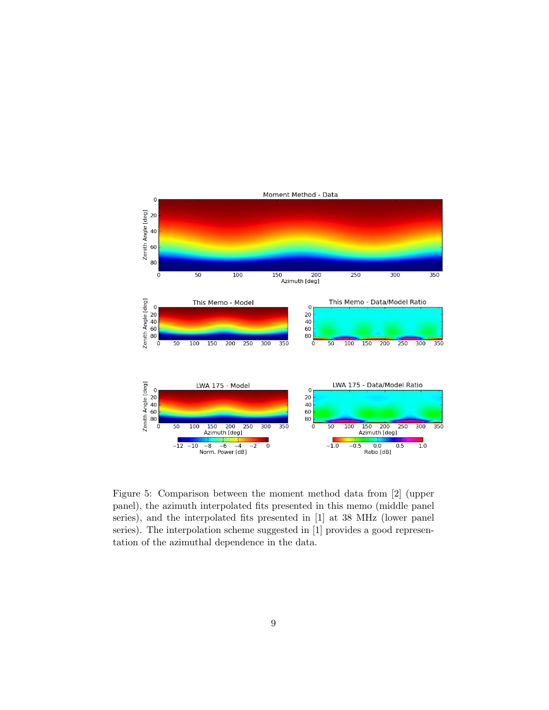

Figure 5: Comparison between the moment method data from [2] (upper panel), the azimuth interpolated fits presented in this memo (middle panel series), and the interpolated fits presented in [1] at 38 MHz (lower panel series). The interpolation scheme suggested in [1] provides a good representation of the azimuthal dependence in the data.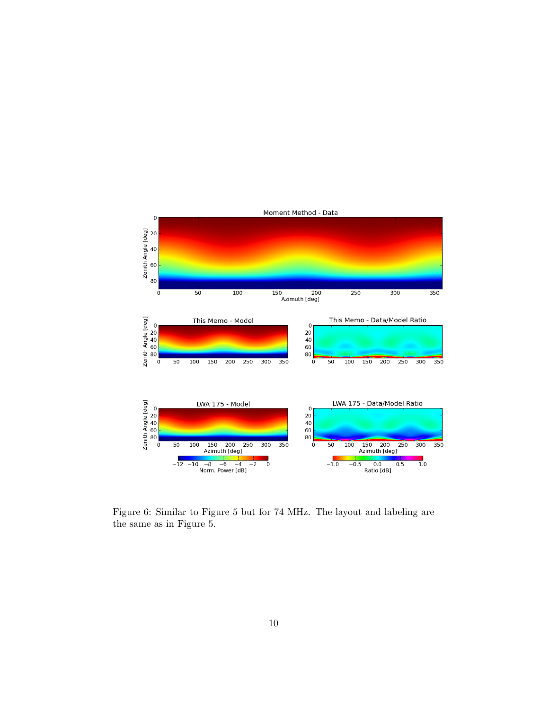

Figure 6: Similar to Figure 5 but for 74 MHz. The layout and labeling are the same as in Figure 5.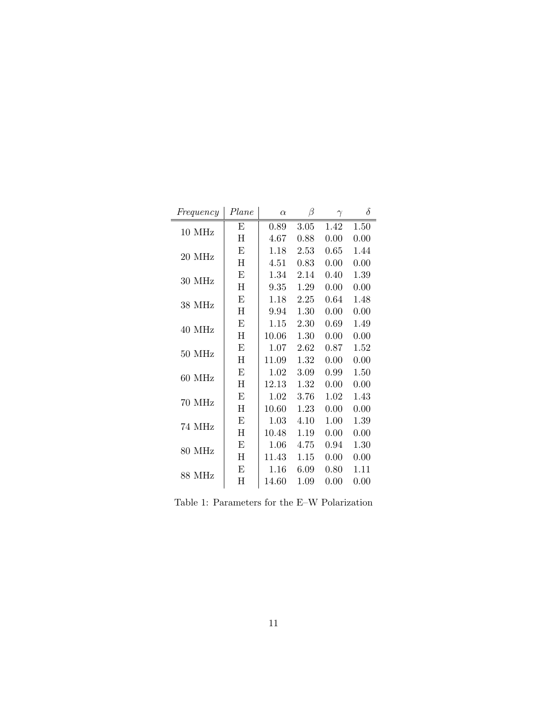| Frequency | Plane     | $\alpha$ | β    | $\gamma$ | $\delta$ |
|-----------|-----------|----------|------|----------|----------|
| 10 MHz    | E         | 0.89     | 3.05 | 1.42     | 1.50     |
|           | H         | 4.67     | 0.88 | 0.00     | 0.00     |
| 20 MHz    | Е         | 1.18     | 2.53 | 0.65     | 1.44     |
|           | H         | 4.51     | 0.83 | 0.00     | 0.00     |
| 30 MHz    | E         | 1.34     | 2.14 | 0.40     | 1.39     |
|           | $H_{\rm}$ | 9.35     | 1.29 | 0.00     | 0.00     |
| 38 MHz    | E         | 1.18     | 2.25 | 0.64     | 1.48     |
|           | H         | 9.94     | 1.30 | 0.00     | 0.00     |
| 40 MHz    | Ε         | 1.15     | 2.30 | 0.69     | 1.49     |
|           | Η         | 10.06    | 1.30 | 0.00     | 0.00     |
| 50 MHz    | Е         | 1.07     | 2.62 | 0.87     | 1.52     |
|           | H         | 11.09    | 1.32 | 0.00     | 0.00     |
| 60 MHz    | E         | 1.02     | 3.09 | 0.99     | 1.50     |
|           | H         | 12.13    | 1.32 | 0.00     | 0.00     |
| 70 MHz    | E         | 1.02     | 3.76 | 1.02     | 1.43     |
|           | $H_{\rm}$ | 10.60    | 1.23 | 0.00     | 0.00     |
| 74 MHz    | E         | $1.03\,$ | 4.10 | 1.00     | 1.39     |
|           | H         | 10.48    | 1.19 | 0.00     | 0.00     |
| 80 MHz    | E         | 1.06     | 4.75 | 0.94     | 1.30     |
|           | $H_{\rm}$ | 11.43    | 1.15 | 0.00     | 0.00     |
| 88 MHz    | Е         | 1.16     | 6.09 | 0.80     | 1.11     |
|           | Η         | 14.60    | 1.09 | 0.00     | 0.00     |

Table 1: Parameters for the E–W Polarization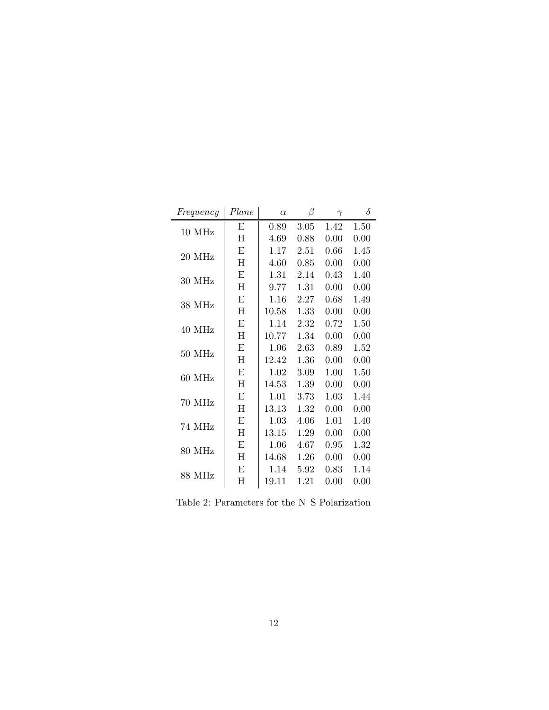| Frequency | Plane     | $\alpha$ | β    | $\gamma$ | $\delta$ |
|-----------|-----------|----------|------|----------|----------|
| 10 MHz    | E         | 0.89     | 3.05 | 1.42     | 1.50     |
|           | H         | 4.69     | 0.88 | 0.00     | 0.00     |
| 20 MHz    | Е         | 1.17     | 2.51 | 0.66     | 1.45     |
|           | H         | $4.60\,$ | 0.85 | 0.00     | 0.00     |
| 30 MHz    | E         | 1.31     | 2.14 | 0.43     | 1.40     |
|           | $H_{\rm}$ | 9.77     | 1.31 | 0.00     | 0.00     |
| 38 MHz    | E         | $1.16\,$ | 2.27 | 0.68     | 1.49     |
|           | H         | 10.58    | 1.33 | 0.00     | 0.00     |
| 40 MHz    | Ε         | 1.14     | 2.32 | 0.72     | 1.50     |
|           | Η         | 10.77    | 1.34 | 0.00     | 0.00     |
| 50 MHz    | Е         | 1.06     | 2.63 | 0.89     | 1.52     |
|           | H         | 12.42    | 1.36 | 0.00     | 0.00     |
| 60 MHz    | E         | 1.02     | 3.09 | 1.00     | 1.50     |
|           | H         | 14.53    | 1.39 | 0.00     | 0.00     |
| 70 MHz    | E         | 1.01     | 3.73 | 1.03     | 1.44     |
|           | $H_{\rm}$ | 13.13    | 1.32 | 0.00     | 0.00     |
| 74 MHz    | E         | $1.03\,$ | 4.06 | 1.01     | 1.40     |
|           | H         | 13.15    | 1.29 | 0.00     | 0.00     |
| 80 MHz    | E         | 1.06     | 4.67 | 0.95     | 1.32     |
|           | $H_{\rm}$ | 14.68    | 1.26 | 0.00     | 0.00     |
| 88 MHz    | Е         | 1.14     | 5.92 | 0.83     | 1.14     |
|           | Η         | 19.11    | 1.21 | 0.00     | 0.00     |

Table 2: Parameters for the N–S Polarization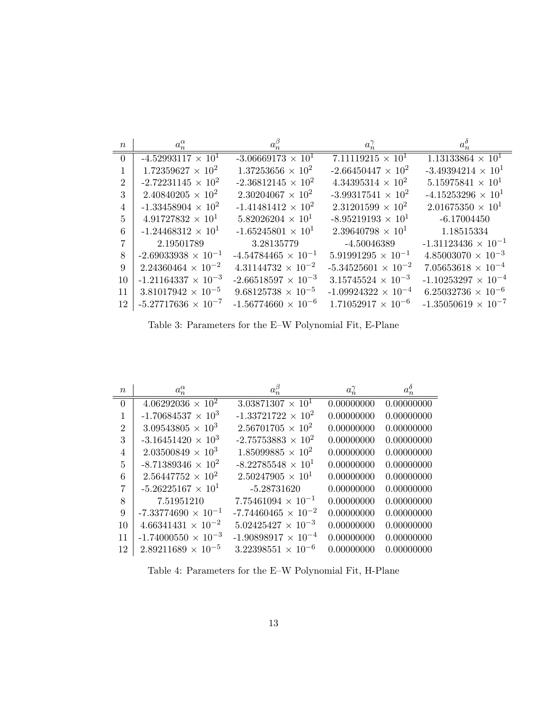| $\boldsymbol{n}$ | $a_n^{\alpha}$               | $a_n^{\beta}$                | $a_n^{\gamma}$               | $a_n^o$                      |
|------------------|------------------------------|------------------------------|------------------------------|------------------------------|
| $\Omega$         | $-4.52993117 \times 10^{1}$  | $-3.06669173 \times 10^{1}$  | $7.11119215 \times 10^{1}$   | $1.13133864 \times 10^{1}$   |
|                  | $1.72359627 \times 10^{2}$   | $1.37253656 \times 10^{2}$   | $-2.66450447 \times 10^{2}$  | $-3.49394214 \times 10^{1}$  |
| $\overline{2}$   | $-2.72231145 \times 10^{2}$  | $-2.36812145 \times 10^{2}$  | $4.34395314 \times 10^{2}$   | $5.15975841 \times 10^{1}$   |
| 3                | $2.40840205 \times 10^{2}$   | $2.30204067 \times 10^{2}$   | $-3.99317541 \times 10^{2}$  | $-4.15253296 \times 10^{1}$  |
| 4                | $-1.33458904 \times 10^{2}$  | $-1.41481412 \times 10^{2}$  | $2.31201599 \times 10^{2}$   | $2.01675350 \times 10^{1}$   |
| 5                | $4.91727832 \times 10^{1}$   | $5.82026204 \times 10^{1}$   | $-8.95219193 \times 10^{1}$  | $-6.17004450$                |
| 6                | $-1.24468312 \times 10^{1}$  | $-1.65245801 \times 10^{1}$  | $2.39640798 \times 10^{1}$   | 1.18515334                   |
|                  | 2.19501789                   | 3.28135779                   | -4.50046389                  | $-1.31123436 \times 10^{-1}$ |
| 8                | $-2.69033938 \times 10^{-1}$ | $-4.54784465 \times 10^{-1}$ | $5.91991295 \times 10^{-1}$  | $4.85003070 \times 10^{-3}$  |
| 9                | $2.24360464 \times 10^{-2}$  | $4.31144732 \times 10^{-2}$  | $-5.34525601 \times 10^{-2}$ | $7.05653618 \times 10^{-4}$  |
| 10               | $-1.21164337 \times 10^{-3}$ | $-2.66518597 \times 10^{-3}$ | $3.15745524 \times 10^{-3}$  | $-1.10253297 \times 10^{-4}$ |
| 11               | $3.81017942 \times 10^{-5}$  | $9.68125738 \times 10^{-5}$  | $-1.09924322 \times 10^{-4}$ | $6.25032736 \times 10^{-6}$  |
| 12               | $-5.27717636 \times 10^{-7}$ | $-1.56774660 \times 10^{-6}$ | $1.71052917 \times 10^{-6}$  | $-1.35050619 \times 10^{-7}$ |

Table 3: Parameters for the E–W Polynomial Fit, E-Plane

| $\boldsymbol{n}$ | $a_n^{\alpha}$               | $a_n^{\beta}$                | $a_n^{\gamma}$ | $a_n^\delta$ |
|------------------|------------------------------|------------------------------|----------------|--------------|
| $\overline{0}$   | $4.06292036 \times 10^{2}$   | $3.03871307 \times 10^{1}$   | 0.00000000     | 0.00000000   |
| 1                | $-1.70684537 \times 10^3$    | $-1.33721722 \times 10^{2}$  | 0.00000000     | 0.00000000   |
| $\overline{2}$   | $3.09543805 \times 10^3$     | $2.56701705 \times 10^{2}$   | 0.00000000     | 0.00000000   |
| 3                | $-3.16451420 \times 10^3$    | $-2.75753883 \times 10^{2}$  | 0.00000000     | 0.00000000   |
| 4                | $2.03500849 \times 10^3$     | $1.85099885 \times 10^{2}$   | 0.00000000     | 0.00000000   |
| 5                | $-8.71389346 \times 10^{2}$  | $-8.22785548 \times 10^{1}$  | 0.00000000     | 0.00000000   |
| 6                | $2.56447752 \times 10^{2}$   | $2.50247905 \times 10^{1}$   | 0.00000000     | 0.00000000   |
| 7                | $-5.26225167 \times 10^{1}$  | $-5.28731620$                | 0.00000000     | 0.00000000   |
| 8                | 7.51951210                   | $7.75461094 \times 10^{-1}$  | 0.00000000     | 0.00000000   |
| 9                | $-7.33774690 \times 10^{-1}$ | $-7.74460465 \times 10^{-2}$ | 0.00000000     | 0.00000000   |
| 10               | $4.66341431 \times 10^{-2}$  | $5.02425427 \times 10^{-3}$  | 0.00000000     | 0.00000000   |
| 11               | $-1.74000550 \times 10^{-3}$ | $-1.90898917 \times 10^{-4}$ | 0.00000000     | 0.00000000   |
| 12               | $2.89211689 \times 10^{-5}$  | $3.22398551 \times 10^{-6}$  | 0.00000000     | 0.00000000   |

Table 4: Parameters for the E–W Polynomial Fit, H-Plane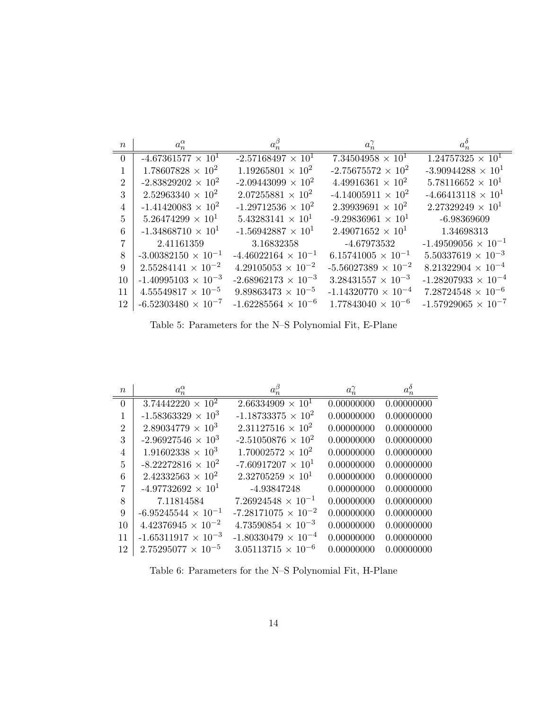| $\boldsymbol{n}$ | $a_n^{\alpha}$               | $a_n^{\beta}$                | $a_n^{\gamma}$               | $a_n^o$                      |
|------------------|------------------------------|------------------------------|------------------------------|------------------------------|
| $\Omega$         | $-4.67361577 \times 10^{1}$  | $-2.57168497 \times 10^{1}$  | $7.34504958 \times 10^{1}$   | $1.24757325 \times 10^{1}$   |
|                  | $1.78607828 \times 10^{2}$   | $1.19265801 \times 10^{2}$   | $-2.75675572 \times 10^{2}$  | $-3.90944288 \times 10^{1}$  |
| $\overline{2}$   | $-2.83829202 \times 10^{2}$  | $-2.09443099 \times 10^{2}$  | $4.49916361 \times 10^{2}$   | $5.78116652 \times 10^{1}$   |
| 3                | $2.52963340 \times 10^{2}$   | $2.07255881 \times 10^{2}$   | $-4.14005911 \times 10^{2}$  | $-4.66413118 \times 10^{1}$  |
| 4                | $-1.41420083 \times 10^{2}$  | $-1.29712536 \times 10^{2}$  | $2.39939691 \times 10^{2}$   | $2.27329249 \times 10^{1}$   |
| 5                | $5.26474299 \times 10^{1}$   | $5.43283141 \times 10^{1}$   | $-9.29836961 \times 10^{1}$  | $-6.98369609$                |
| 6                | $-1.34868710 \times 10^{1}$  | $-1.56942887 \times 10^{1}$  | $2.49071652 \times 10^{1}$   | 1.34698313                   |
|                  | 2.41161359                   | 3.16832358                   | -4.67973532                  | $-1.49509056 \times 10^{-1}$ |
| 8                | $-3.00382150 \times 10^{-1}$ | $-4.46022164 \times 10^{-1}$ | $6.15741005 \times 10^{-1}$  | $5.50337619 \times 10^{-3}$  |
| 9                | $2.55284141 \times 10^{-2}$  | $4.29105053 \times 10^{-2}$  | $-5.56027389 \times 10^{-2}$ | $8.21322904 \times 10^{-4}$  |
| 10               | $-1.40995103 \times 10^{-3}$ | $-2.68962173 \times 10^{-3}$ | $3.28431557 \times 10^{-3}$  | $-1.28207933 \times 10^{-4}$ |
| 11               | $4.55549817 \times 10^{-5}$  | $9.89863473 \times 10^{-5}$  | $-1.14320770 \times 10^{-4}$ | $7.28724548 \times 10^{-6}$  |
| 12               | $-6.52303480 \times 10^{-7}$ | $-1.62285564 \times 10^{-6}$ | $1.77843040 \times 10^{-6}$  | $-1.57929065 \times 10^{-7}$ |

Table 5: Parameters for the N–S Polynomial Fit, E-Plane

| $\boldsymbol{n}$ | $a_n^{\alpha}$               | $a_n^{\beta}$                | $a_n^{\gamma}$ | $a_n^{\delta}$ |
|------------------|------------------------------|------------------------------|----------------|----------------|
| $\overline{0}$   | $3.74442220 \times 10^{2}$   | $2.66334909 \times 10^{1}$   | 0.00000000     | 0.00000000     |
| 1                | $-1.58363329 \times 10^3$    | $-1.18733375 \times 10^{2}$  | 0.00000000     | 0.00000000     |
| $\overline{2}$   | $2.89034779 \times 10^3$     | $2.31127516 \times 10^{2}$   | 0.00000000     | 0.00000000     |
| 3                | $-2.96927546 \times 10^3$    | $-2.51050876 \times 10^{2}$  | 0.00000000     | 0.00000000     |
| 4                | $1.91602338 \times 10^3$     | $1.70002572 \times 10^{2}$   | 0.00000000     | 0.00000000     |
| 5                | $-8.22272816 \times 10^{2}$  | $-7.60917207 \times 10^{1}$  | 0.00000000     | 0.00000000     |
| 6                | $2.42332563 \times 10^{2}$   | $2.32705259 \times 10^{1}$   | 0.00000000     | 0.00000000     |
| 7                | $-4.97732692 \times 10^{1}$  | -4.93847248                  | 0.00000000     | 0.00000000     |
| 8                | 7.11814584                   | $7.26924548 \times 10^{-1}$  | 0.00000000     | 0.00000000     |
| 9                | $-6.95245544 \times 10^{-1}$ | $-7.28171075 \times 10^{-2}$ | 0.00000000     | 0.00000000     |
| 10               | $4.42376945 \times 10^{-2}$  | $4.73590854 \times 10^{-3}$  | 0.00000000     | 0.00000000     |
| 11               | $-1.65311917 \times 10^{-3}$ | $-1.80330479 \times 10^{-4}$ | 0.00000000     | 0.00000000     |
| 12               | $2.75295077 \times 10^{-5}$  | $3.05113715 \times 10^{-6}$  | 0.00000000     | 0.00000000     |

Table 6: Parameters for the N–S Polynomial Fit, H-Plane